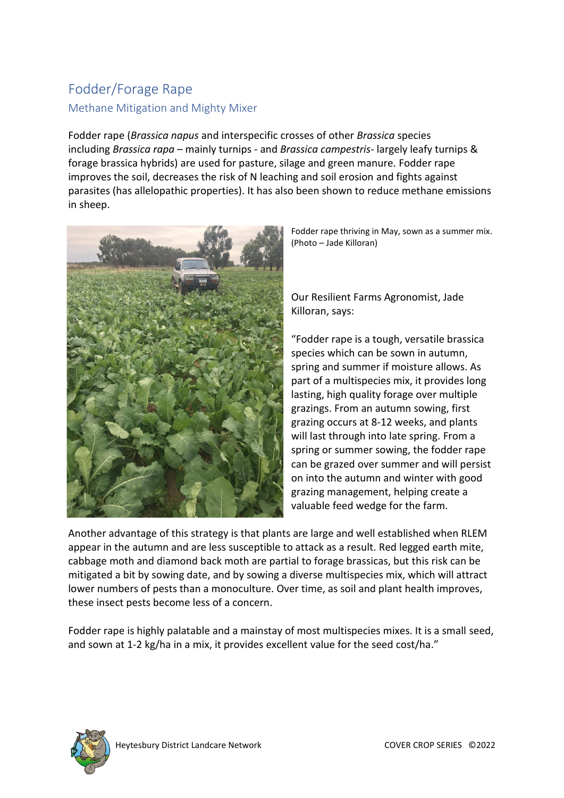# Fodder/Forage Rape Methane Mitigation and Mighty Mixer

Fodder rape (*Brassica napus* and interspecific crosses of other *Brassica* species including *Brassica rapa* – mainly turnips - and *Brassica campestris*- largely leafy turnips & forage brassica hybrids) are used for pasture, silage and green manure. Fodder rape improves the soil, decreases the risk of N leaching and soil erosion and fights against parasites (has allelopathic properties). It has also been shown to reduce methane emissions in sheep.



Fodder rape thriving in May, sown as a summer mix. (Photo – Jade Killoran)

Our Resilient Farms Agronomist, Jade Killoran, says:

"Fodder rape is a tough, versatile brassica species which can be sown in autumn, spring and summer if moisture allows. As part of a multispecies mix, it provides long lasting, high quality forage over multiple grazings. From an autumn sowing, first grazing occurs at 8-12 weeks, and plants will last through into late spring. From a spring or summer sowing, the fodder rape can be grazed over summer and will persist on into the autumn and winter with good grazing management, helping create a valuable feed wedge for the farm.

Another advantage of this strategy is that plants are large and well established when RLEM appear in the autumn and are less susceptible to attack as a result. Red legged earth mite, cabbage moth and diamond back moth are partial to forage brassicas, but this risk can be mitigated a bit by sowing date, and by sowing a diverse multispecies mix, which will attract lower numbers of pests than a monoculture. Over time, as soil and plant health improves, these insect pests become less of a concern.

Fodder rape is highly palatable and a mainstay of most multispecies mixes. It is a small seed, and sown at 1-2 kg/ha in a mix, it provides excellent value for the seed cost/ha."

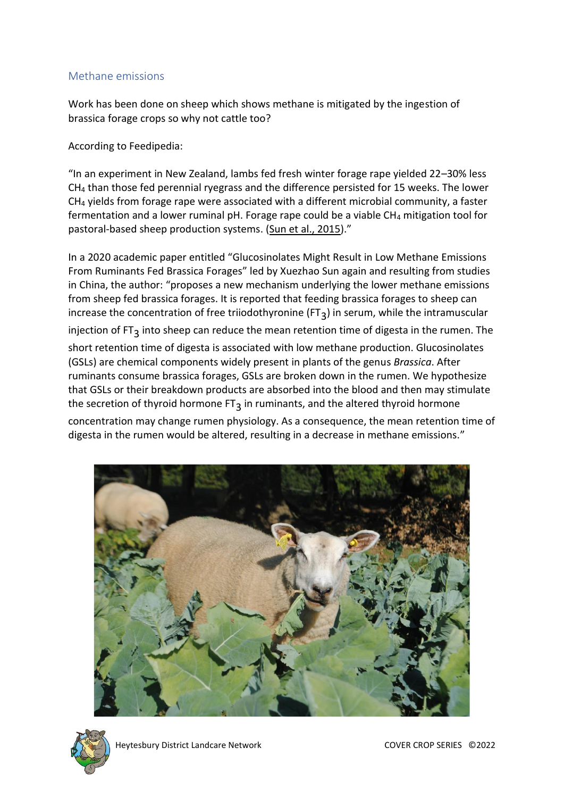#### Methane emissions

Work has been done on sheep which shows methane is mitigated by the ingestion of brassica forage crops so why not cattle too?

According to Feedipedia:

"In an experiment in New Zealand, lambs fed fresh winter forage rape yielded 22–30% less CH<sup>4</sup> than those fed perennial ryegrass and the difference persisted for 15 weeks. The lower CH<sup>4</sup> yields from forage rape were associated with a different microbial community, a faster fermentation and a lower ruminal pH. Forage rape could be a viable CH4 mitigation tool for pastoral-based sheep production systems. [\(Sun et al., 2015\)](https://www.feedipedia.org/node/25503)."

In a 2020 academic paper entitled "Glucosinolates Might Result in Low Methane Emissions From Ruminants Fed Brassica Forages" led by Xuezhao Sun again and resulting from studies in China, the author: "proposes a new mechanism underlying the lower methane emissions from sheep fed brassica forages. It is reported that feeding brassica forages to sheep can increase the concentration of free triiodothyronine (FT<sub>3</sub>) in serum, while the intramuscular

injection of FT<sub>3</sub> into sheep can reduce the mean retention time of digesta in the rumen. The short retention time of digesta is associated with low methane production. Glucosinolates (GSLs) are chemical components widely present in plants of the genus *Brassica*. After ruminants consume brassica forages, GSLs are broken down in the rumen. We hypothesize that GSLs or their breakdown products are absorbed into the blood and then may stimulate the secretion of thyroid hormone  $FT_3$  in ruminants, and the altered thyroid hormone

concentration may change rumen physiology. As a consequence, the mean retention time of digesta in the rumen would be altered, resulting in a decrease in methane emissions."





Heytesbury District Landcare Network COVER COVER CROP SERIES ©2022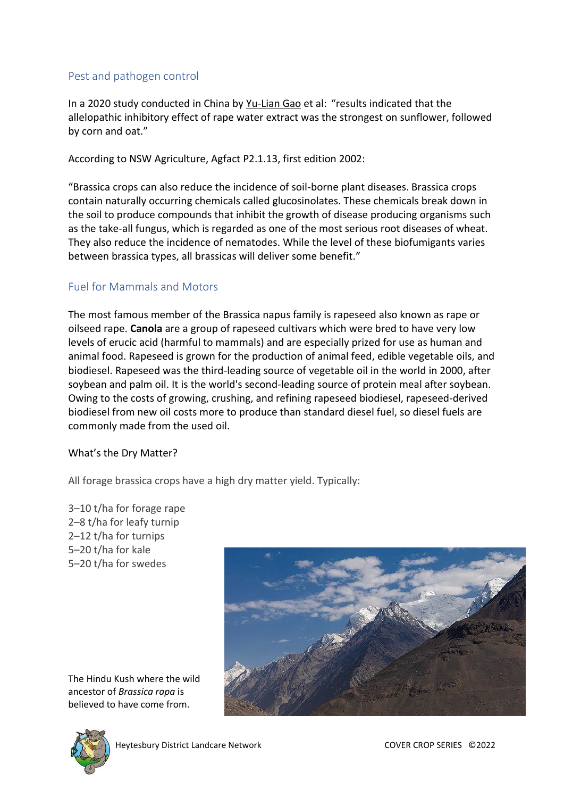### Pest and pathogen control

In a 2020 study conducted in China by [Yu-Lian Gao](https://pubmed.ncbi.nlm.nih.gov/?term=Gao+YL&cauthor_id=33393253) et al: "results indicated that the allelopathic inhibitory effect of rape water extract was the strongest on sunflower, followed by corn and oat."

According to NSW Agriculture, Agfact P2.1.13, first edition 2002:

"Brassica crops can also reduce the incidence of soil-borne plant diseases. Brassica crops contain naturally occurring chemicals called glucosinolates. These chemicals break down in the soil to produce compounds that inhibit the growth of disease producing organisms such as the take-all fungus, which is regarded as one of the most serious root diseases of wheat. They also reduce the incidence of nematodes. While the level of these biofumigants varies between brassica types, all brassicas will deliver some benefit."

### Fuel for Mammals and Motors

The most famous member of the Brassica napus family is rapeseed also known as rape or oilseed rape. **Canola** are a group of rapeseed cultivars which were bred to have very low levels of erucic acid (harmful to mammals) and are especially prized for use as human and animal food. Rapeseed is grown for the production of animal feed, edible vegetable oils, and biodiesel. Rapeseed was the third-leading source of vegetable oil in the world in 2000, after soybean and palm oil. It is the world's second-leading source of protein meal after soybean. Owing to the costs of growing, crushing, and refining rapeseed biodiesel, rapeseed-derived biodiesel from new oil costs more to produce than standard diesel fuel, so diesel fuels are commonly made from the used oil.

#### What's the Dry Matter?

All forage brassica crops have a high dry matter yield. Typically:

–10 t/ha for forage rape –8 t/ha for leafy turnip –12 t/ha for turnips –20 t/ha for kale –20 t/ha for swedes



The Hindu Kush where the wild ancestor of *Brassica rapa* is believed to have come from.

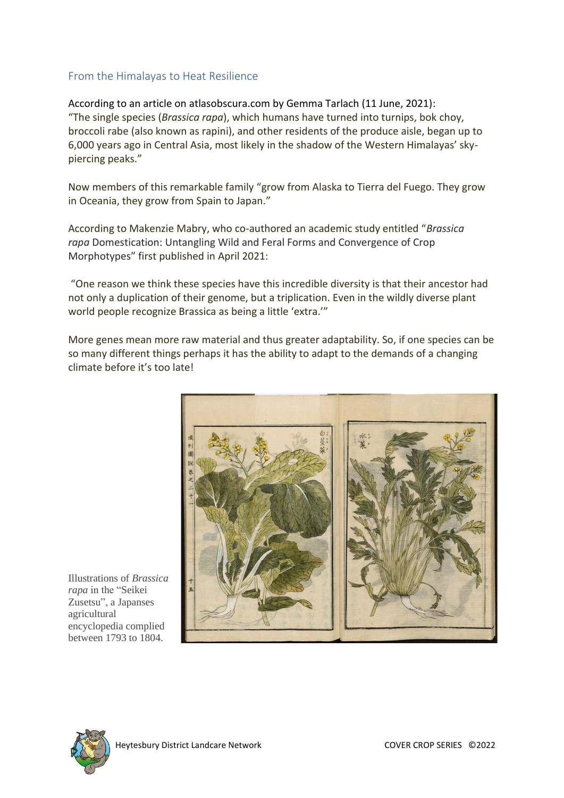#### From the Himalayas to Heat Resilience

According to an article on atlasobscura.com by Gemma Tarlach (11 June, 2021): "The single species (*Brassica rapa*), which humans have turned into turnips, bok choy, broccoli rabe (also known as rapini), and other residents of the produce aisle, began up to 6,000 years ago in Central Asia, most likely in the shadow of the Western Himalayas' skypiercing peaks."

Now members of this remarkable family "grow from Alaska to Tierra del Fuego. They grow in Oceania, they grow from Spain to Japan."

According to Makenzie Mabry, who co-authored an academic study entitled "*Brassica rapa* Domestication: Untangling Wild and Feral Forms and Convergence of Crop Morphotypes" first published in April 2021:

"One reason we think these species have this incredible diversity is that their ancestor had not only a duplication of their genome, but a triplication. Even in the wildly diverse plant world people recognize Brassica as being a little 'extra.'"

More genes mean more raw material and thus greater adaptability. So, if one species can be so many different things perhaps it has the ability to adapt to the demands of a changing climate before it's too late!



Illustrations of *Brassica rapa* in the "Seikei Zusetsu", a Japanses agricultural encyclopedia complied between 1793 to 1804.